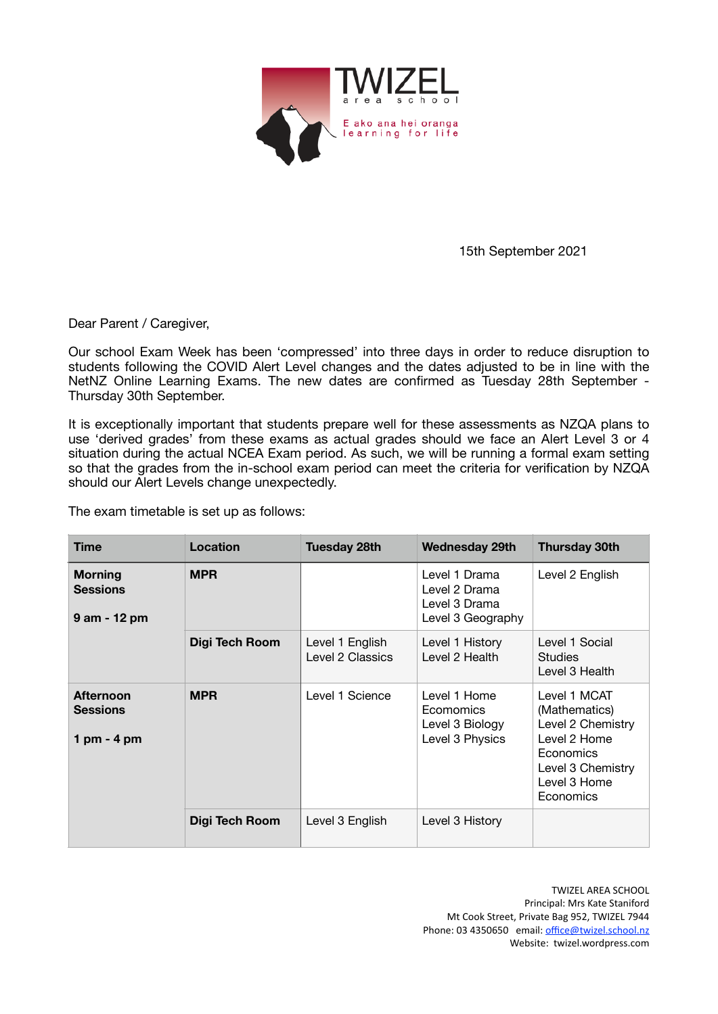

 15th September 2021

Dear Parent / Caregiver,

Our school Exam Week has been 'compressed' into three days in order to reduce disruption to students following the COVID Alert Level changes and the dates adjusted to be in line with the NetNZ Online Learning Exams. The new dates are confirmed as Tuesday 28th September - Thursday 30th September.

It is exceptionally important that students prepare well for these assessments as NZQA plans to use 'derived grades' from these exams as actual grades should we face an Alert Level 3 or 4 situation during the actual NCEA Exam period. As such, we will be running a formal exam setting so that the grades from the in-school exam period can meet the criteria for verification by NZQA should our Alert Levels change unexpectedly.

The exam timetable is set up as follows:

| Time                                                 | <b>Location</b> | <b>Tuesday 28th</b>                 | <b>Wednesday 29th</b>                                                  | <b>Thursday 30th</b>                                                                                                              |
|------------------------------------------------------|-----------------|-------------------------------------|------------------------------------------------------------------------|-----------------------------------------------------------------------------------------------------------------------------------|
| <b>Morning</b><br><b>Sessions</b><br>9 am - 12 pm    | <b>MPR</b>      |                                     | Level 1 Drama<br>Level 2 Drama<br>Level 3 Drama<br>Level 3 Geography   | Level 2 English                                                                                                                   |
|                                                      | Digi Tech Room  | Level 1 English<br>Level 2 Classics | Level 1 History<br>Level 2 Health                                      | Level 1 Social<br><b>Studies</b><br>Level 3 Health                                                                                |
| <b>Afternoon</b><br><b>Sessions</b><br>1 pm $-$ 4 pm | <b>MPR</b>      | Level 1 Science                     | Level 1 Home<br><b>Ecomomics</b><br>Level 3 Biology<br>Level 3 Physics | Level 1 MCAT<br>(Mathematics)<br>Level 2 Chemistry<br>Level 2 Home<br>Economics<br>Level 3 Chemistry<br>Level 3 Home<br>Economics |
|                                                      | Digi Tech Room  | Level 3 English                     | Level 3 History                                                        |                                                                                                                                   |